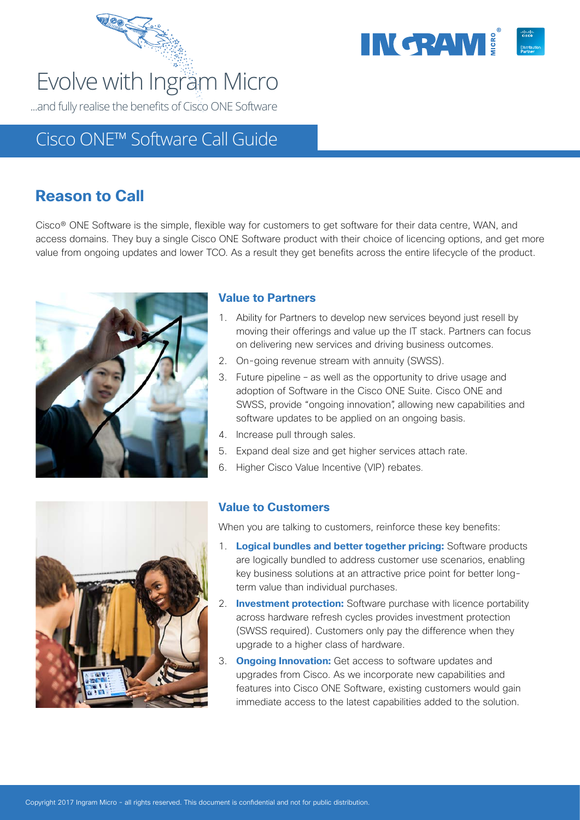



# Cisco ONE™ Software Call Guide

# **Reason to Call**

Cisco® ONE Software is the simple, flexible way for customers to get software for their data centre, WAN, and access domains. They buy a single Cisco ONE Software product with their choice of licencing options, and get more value from ongoing updates and lower TCO. As a result they get benefits across the entire lifecycle of the product.



### **Value to Partners**

- 1. Ability for Partners to develop new services beyond just resell by moving their offerings and value up the IT stack. Partners can focus on delivering new services and driving business outcomes.
- 2. On-going revenue stream with annuity (SWSS).
- 3. Future pipeline as well as the opportunity to drive usage and adoption of Software in the Cisco ONE Suite. Cisco ONE and SWSS, provide "ongoing innovation", allowing new capabilities and software updates to be applied on an ongoing basis.
- 4. Increase pull through sales.
- 5. Expand deal size and get higher services attach rate.
- 6. Higher Cisco Value Incentive (VIP) rebates.



### **Value to Customers**

When you are talking to customers, reinforce these key benefits:

- 1. **Logical bundles and better together pricing:** Software products are logically bundled to address customer use scenarios, enabling key business solutions at an attractive price point for better longterm value than individual purchases.
- 2. **Investment protection:** Software purchase with licence portability across hardware refresh cycles provides investment protection (SWSS required). Customers only pay the difference when they upgrade to a higher class of hardware.
- 3. **Ongoing Innovation:** Get access to software updates and upgrades from Cisco. As we incorporate new capabilities and features into Cisco ONE Software, existing customers would gain immediate access to the latest capabilities added to the solution.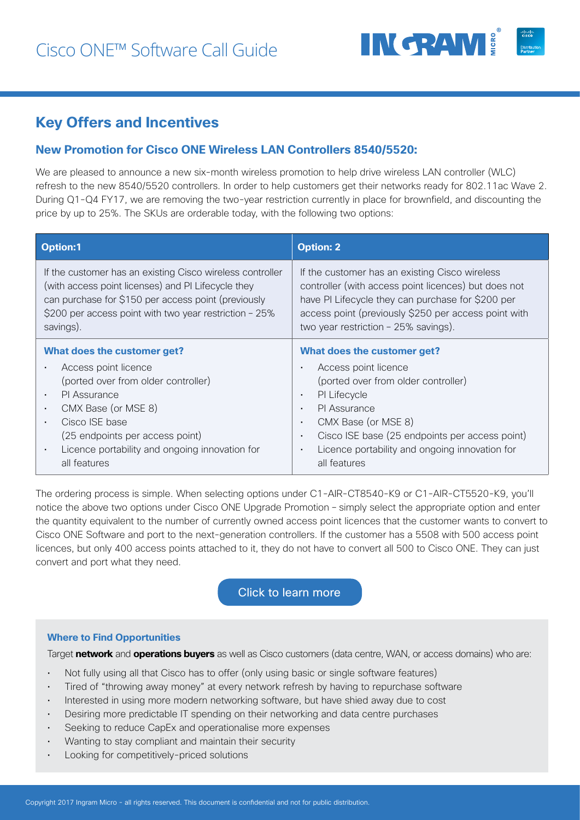

# **Key Offers and Incentives**

### **New Promotion for Cisco ONE Wireless LAN Controllers 8540/5520:**

We are pleased to announce a new six-month wireless promotion to help drive wireless LAN controller (WLC) refresh to the new 8540/5520 controllers. In order to help customers get their networks ready for 802.11ac Wave 2. During Q1-Q4 FY17, we are removing the two-year restriction currently in place for brownfield, and discounting the price by up to 25%. The SKUs are orderable today, with the following two options:

| <b>Option:1</b>                                                                                                                                                                                                                                            | <b>Option: 2</b>                                                                                                                                                                                                                                                                                               |
|------------------------------------------------------------------------------------------------------------------------------------------------------------------------------------------------------------------------------------------------------------|----------------------------------------------------------------------------------------------------------------------------------------------------------------------------------------------------------------------------------------------------------------------------------------------------------------|
| If the customer has an existing Cisco wireless controller<br>(with access point licenses) and PI Lifecycle they<br>can purchase for \$150 per access point (previously<br>\$200 per access point with two year restriction - 25%<br>savings).              | If the customer has an existing Cisco wireless<br>controller (with access point licences) but does not<br>have PI Lifecycle they can purchase for \$200 per<br>access point (previously \$250 per access point with<br>two year restriction - 25% savings).                                                    |
| What does the customer get?                                                                                                                                                                                                                                | What does the customer get?                                                                                                                                                                                                                                                                                    |
| Access point licence<br>(ported over from older controller)<br><b>PI</b> Assurance<br>$\bullet$<br>CMX Base (or MSE 8)<br>$\bullet$<br>Cisco ISE base<br>(25 endpoints per access point)<br>Licence portability and ongoing innovation for<br>all features | Access point licence<br>(ported over from older controller)<br>PI Lifecycle<br>$\blacksquare$<br>PI Assurance<br>$\blacksquare$<br>CMX Base (or MSE 8)<br>$\blacksquare$<br>Cisco ISE base (25 endpoints per access point)<br>$\blacksquare$<br>Licence portability and ongoing innovation for<br>all features |

The ordering process is simple. When selecting options under C1-AIR-CT8540-K9 or C1-AIR-CT5520-K9, you'll notice the above two options under Cisco ONE Upgrade Promotion – simply select the appropriate option and enter the quantity equivalent to the number of currently owned access point licences that the customer wants to convert to Cisco ONE Software and port to the next-generation controllers. If the customer has a 5508 with 500 access point licences, but only 400 access points attached to it, they do not have to convert all 500 to Cisco ONE. They can just convert and port what they need.

### [Click to learn more](https://communities.cisco.com/community/partner/cisco-one)

#### **Where to Find Opportunities**

Target **network** and **operations buyers** as well as Cisco customers (data centre, WAN, or access domains) who are:

- Not fully using all that Cisco has to offer (only using basic or single software features)
- Tired of "throwing away money" at every network refresh by having to repurchase software
- Interested in using more modern networking software, but have shied away due to cost
- Desiring more predictable IT spending on their networking and data centre purchases
- Seeking to reduce CapEx and operationalise more expenses
- Wanting to stay compliant and maintain their security
- Looking for competitively-priced solutions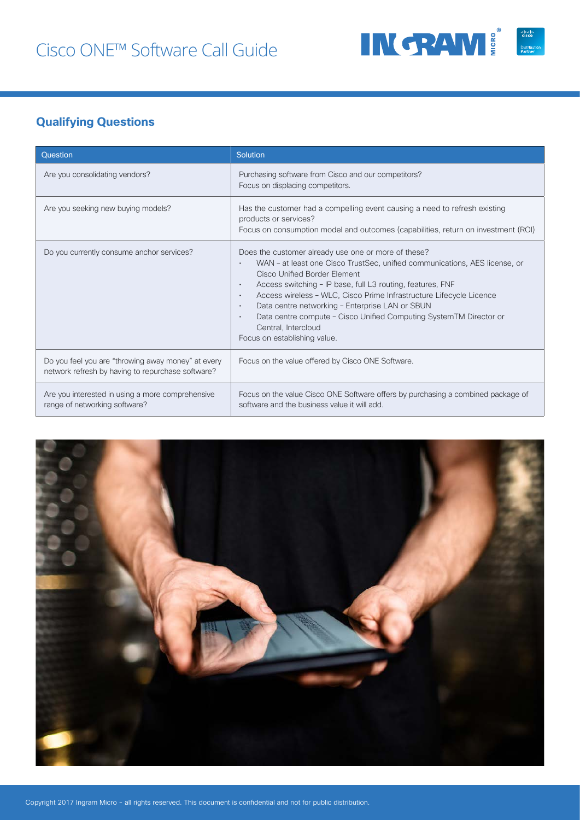

# **Qualifying Questions**

| Question                                                                                                | Solution                                                                                                                                                                                                                                                                                                                                                                                                                                                                                                                        |
|---------------------------------------------------------------------------------------------------------|---------------------------------------------------------------------------------------------------------------------------------------------------------------------------------------------------------------------------------------------------------------------------------------------------------------------------------------------------------------------------------------------------------------------------------------------------------------------------------------------------------------------------------|
| Are you consolidating vendors?                                                                          | Purchasing software from Cisco and our competitors?<br>Focus on displacing competitors.                                                                                                                                                                                                                                                                                                                                                                                                                                         |
| Are you seeking new buying models?                                                                      | Has the customer had a compelling event causing a need to refresh existing<br>products or services?<br>Focus on consumption model and outcomes (capabilities, return on investment (ROI)                                                                                                                                                                                                                                                                                                                                        |
| Do you currently consume anchor services?                                                               | Does the customer already use one or more of these?<br>WAN - at least one Cisco TrustSec, unified communications, AES license, or<br>Cisco Unified Border Element<br>Access switching - IP base, full L3 routing, features, FNF<br>٠<br>Access wireless - WLC, Cisco Prime Infrastructure Lifecycle Licence<br>$\blacksquare$<br>Data centre networking - Enterprise LAN or SBUN<br>$\blacksquare$<br>Data centre compute - Cisco Unified Computing SystemTM Director or<br>Central, Intercloud<br>Focus on establishing value. |
| Do you feel you are "throwing away money" at every<br>network refresh by having to repurchase software? | Focus on the value offered by Cisco ONE Software.                                                                                                                                                                                                                                                                                                                                                                                                                                                                               |
| Are you interested in using a more comprehensive<br>range of networking software?                       | Focus on the value Cisco ONE Software offers by purchasing a combined package of<br>software and the business value it will add.                                                                                                                                                                                                                                                                                                                                                                                                |

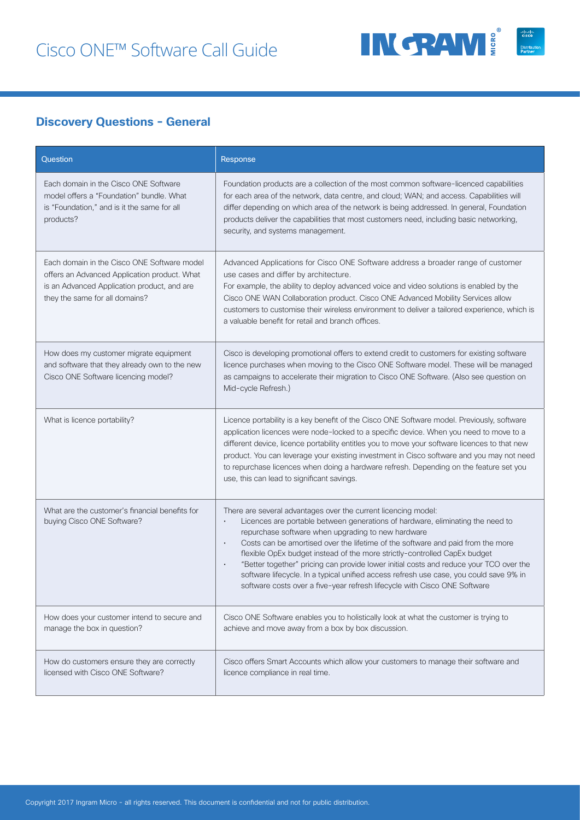

### **Discovery Questions - General**

| Question                                                                                                                                                                     | Response                                                                                                                                                                                                                                                                                                                                                                                                                                                                                                                                                                                                                                |
|------------------------------------------------------------------------------------------------------------------------------------------------------------------------------|-----------------------------------------------------------------------------------------------------------------------------------------------------------------------------------------------------------------------------------------------------------------------------------------------------------------------------------------------------------------------------------------------------------------------------------------------------------------------------------------------------------------------------------------------------------------------------------------------------------------------------------------|
| Each domain in the Cisco ONE Software<br>model offers a "Foundation" bundle. What<br>is "Foundation," and is it the same for all<br>products?                                | Foundation products are a collection of the most common software-licenced capabilities<br>for each area of the network, data centre, and cloud; WAN; and access. Capabilities will<br>differ depending on which area of the network is being addressed. In general, Foundation<br>products deliver the capabilities that most customers need, including basic networking,<br>security, and systems management.                                                                                                                                                                                                                          |
| Each domain in the Cisco ONE Software model<br>offers an Advanced Application product. What<br>is an Advanced Application product, and are<br>they the same for all domains? | Advanced Applications for Cisco ONE Software address a broader range of customer<br>use cases and differ by architecture.<br>For example, the ability to deploy advanced voice and video solutions is enabled by the<br>Cisco ONE WAN Collaboration product. Cisco ONE Advanced Mobility Services allow<br>customers to customise their wireless environment to deliver a tailored experience, which is<br>a valuable benefit for retail and branch offices.                                                                                                                                                                            |
| How does my customer migrate equipment<br>and software that they already own to the new<br>Cisco ONE Software licencing model?                                               | Cisco is developing promotional offers to extend credit to customers for existing software<br>licence purchases when moving to the Cisco ONE Software model. These will be managed<br>as campaigns to accelerate their migration to Cisco ONE Software. (Also see question on<br>Mid-cycle Refresh.)                                                                                                                                                                                                                                                                                                                                    |
| What is licence portability?                                                                                                                                                 | Licence portability is a key benefit of the Cisco ONE Software model. Previously, software<br>application licences were node-locked to a specific device. When you need to move to a<br>different device, licence portability entitles you to move your software licences to that new<br>product. You can leverage your existing investment in Cisco software and you may not need<br>to repurchase licences when doing a hardware refresh. Depending on the feature set you<br>use, this can lead to significant savings.                                                                                                              |
| What are the customer's financial benefits for<br>buying Cisco ONE Software?                                                                                                 | There are several advantages over the current licencing model:<br>Licences are portable between generations of hardware, eliminating the need to<br>repurchase software when upgrading to new hardware<br>Costs can be amortised over the lifetime of the software and paid from the more<br>flexible OpEx budget instead of the more strictly-controlled CapEx budget<br>"Better together" pricing can provide lower initial costs and reduce your TCO over the<br>software lifecycle. In a typical unified access refresh use case, you could save 9% in<br>software costs over a five-year refresh lifecycle with Cisco ONE Software |
| How does your customer intend to secure and<br>manage the box in question?                                                                                                   | Cisco ONE Software enables you to holistically look at what the customer is trying to<br>achieve and move away from a box by box discussion.                                                                                                                                                                                                                                                                                                                                                                                                                                                                                            |
| How do customers ensure they are correctly<br>licensed with Cisco ONE Software?                                                                                              | Cisco offers Smart Accounts which allow your customers to manage their software and<br>licence compliance in real time.                                                                                                                                                                                                                                                                                                                                                                                                                                                                                                                 |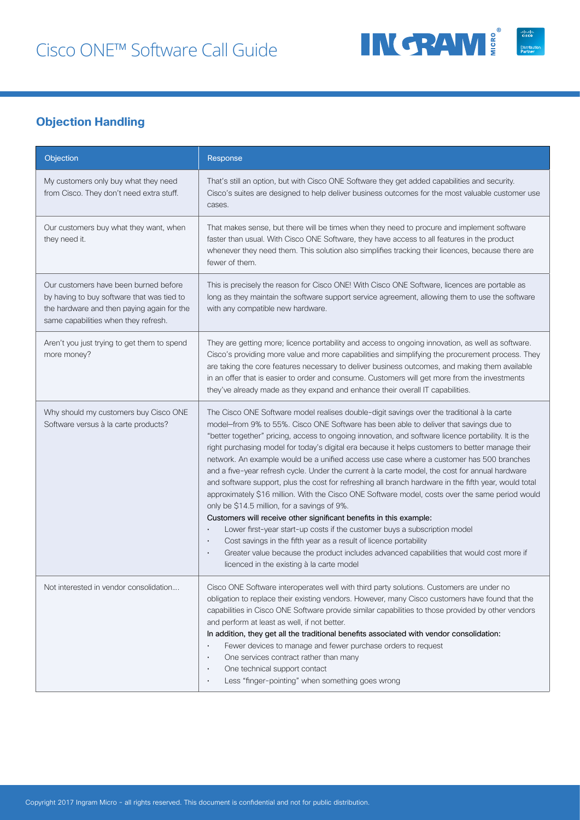

# **Objection Handling**

| Objection                                                                                                                                                                 | Response                                                                                                                                                                                                                                                                                                                                                                                                                                                                                                                                                                                                                                                                                                                                                                                                                                                                                                                                                                                                                                                                                                                                                                                                                                              |
|---------------------------------------------------------------------------------------------------------------------------------------------------------------------------|-------------------------------------------------------------------------------------------------------------------------------------------------------------------------------------------------------------------------------------------------------------------------------------------------------------------------------------------------------------------------------------------------------------------------------------------------------------------------------------------------------------------------------------------------------------------------------------------------------------------------------------------------------------------------------------------------------------------------------------------------------------------------------------------------------------------------------------------------------------------------------------------------------------------------------------------------------------------------------------------------------------------------------------------------------------------------------------------------------------------------------------------------------------------------------------------------------------------------------------------------------|
| My customers only buy what they need<br>from Cisco. They don't need extra stuff.                                                                                          | That's still an option, but with Cisco ONE Software they get added capabilities and security.<br>Cisco's suites are designed to help deliver business outcomes for the most valuable customer use<br>cases.                                                                                                                                                                                                                                                                                                                                                                                                                                                                                                                                                                                                                                                                                                                                                                                                                                                                                                                                                                                                                                           |
| Our customers buy what they want, when<br>they need it.                                                                                                                   | That makes sense, but there will be times when they need to procure and implement software<br>faster than usual. With Cisco ONE Software, they have access to all features in the product<br>whenever they need them. This solution also simplifies tracking their licences, because there are<br>fewer of them.                                                                                                                                                                                                                                                                                                                                                                                                                                                                                                                                                                                                                                                                                                                                                                                                                                                                                                                                      |
| Our customers have been burned before<br>by having to buy software that was tied to<br>the hardware and then paying again for the<br>same capabilities when they refresh. | This is precisely the reason for Cisco ONE! With Cisco ONE Software, licences are portable as<br>long as they maintain the software support service agreement, allowing them to use the software<br>with any compatible new hardware.                                                                                                                                                                                                                                                                                                                                                                                                                                                                                                                                                                                                                                                                                                                                                                                                                                                                                                                                                                                                                 |
| Aren't you just trying to get them to spend<br>more money?                                                                                                                | They are getting more; licence portability and access to ongoing innovation, as well as software.<br>Cisco's providing more value and more capabilities and simplifying the procurement process. They<br>are taking the core features necessary to deliver business outcomes, and making them available<br>in an offer that is easier to order and consume. Customers will get more from the investments<br>they've already made as they expand and enhance their overall IT capabilities.                                                                                                                                                                                                                                                                                                                                                                                                                                                                                                                                                                                                                                                                                                                                                            |
| Why should my customers buy Cisco ONE<br>Software versus à la carte products?                                                                                             | The Cisco ONE Software model realises double-digit savings over the traditional à la carte<br>model-from 9% to 55%. Cisco ONE Software has been able to deliver that savings due to<br>"better together" pricing, access to ongoing innovation, and software licence portability. It is the<br>right purchasing model for today's digital era because it helps customers to better manage their<br>network. An example would be a unified access use case where a customer has 500 branches<br>and a five-year refresh cycle. Under the current à la carte model, the cost for annual hardware<br>and software support, plus the cost for refreshing all branch hardware in the fifth year, would total<br>approximately \$16 million. With the Cisco ONE Software model, costs over the same period would<br>only be \$14.5 million, for a savings of 9%.<br>Customers will receive other significant benefits in this example:<br>Lower first-year start-up costs if the customer buys a subscription model<br>Cost savings in the fifth year as a result of licence portability<br>$\bullet$<br>Greater value because the product includes advanced capabilities that would cost more if<br>$\bullet$<br>licenced in the existing à la carte model |
| Not interested in vendor consolidation                                                                                                                                    | Cisco ONE Software interoperates well with third party solutions. Customers are under no<br>obligation to replace their existing vendors. However, many Cisco customers have found that the<br>capabilities in Cisco ONE Software provide similar capabilities to those provided by other vendors<br>and perform at least as well, if not better.<br>In addition, they get all the traditional benefits associated with vendor consolidation:<br>Fewer devices to manage and fewer purchase orders to request<br>One services contract rather than many<br>$\bullet$<br>One technical support contact<br>$\bullet$<br>Less "finger-pointing" when something goes wrong<br>$\bullet$                                                                                                                                                                                                                                                                                                                                                                                                                                                                                                                                                                   |